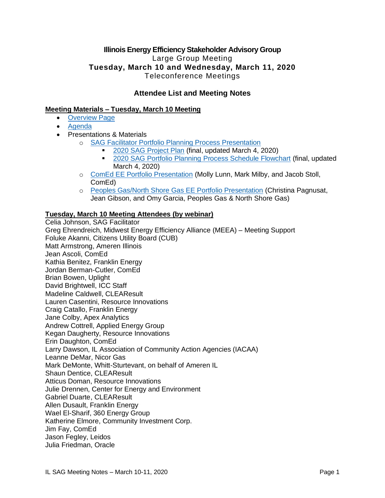# **Illinois Energy Efficiency Stakeholder Advisory Group**  Large Group Meeting **Tuesday, March 10 and Wednesday, March 11, 2020** Teleconference Meetings

# **Attendee List and Meeting Notes**

# **Meeting Materials – Tuesday, March 10 Meeting**

- [Overview Page](https://www.ilsag.info/event/tuesday-march-10-sag-meeting/)
- [Agenda](https://s3.amazonaws.com/ilsag/IL-EE-SAG_Tuesday-March-10-2020_Meeting_Agenda_Final-1.pdf)
- Presentations & Materials
	- o [SAG Facilitator Portfolio Planning Process Presentation](https://s3.amazonaws.com/ilsag/SAG_Portfolio-Planning-Process-Kick-off_SAG_Facilitator-Presentation_3-10-2020_Final.pdf)
		- [2020 SAG Project Plan](https://s3.amazonaws.com/ilsag/SAG-Portfolio-Planning-Process-2020-Plan_Final_3-4-2020.pdf) (final, updated March 4, 2020)
		- [2020 SAG Portfolio Planning Process Schedule Flowchart](https://s3.amazonaws.com/ilsag/SAG-Portfolio-Planning-Process-Flowchart_final-March-4-2020_pages-1-2-merged.pdf) (final, updated March 4, 2020)
	- o [ComEd EE Portfolio Presentation](https://s3.amazonaws.com/ilsag/ComEd_2020-March-SAG_Final.pdf) (Molly Lunn, Mark Milby, and Jacob Stoll, ComEd)
	- o [Peoples Gas/North Shore Gas EE Portfolio Presentation](https://s3.amazonaws.com/ilsag/PGL-NSG_2019-Q4-SAG_FINAL_3-10-2020.pdf) (Christina Pagnusat, Jean Gibson, and Omy Garcia, Peoples Gas & North Shore Gas)

# **Tuesday, March 10 Meeting Attendees (by webinar)**

Celia Johnson, SAG Facilitator Greg Ehrendreich, Midwest Energy Efficiency Alliance (MEEA) – Meeting Support Foluke Akanni, Citizens Utility Board (CUB) Matt Armstrong, Ameren Illinois Jean Ascoli, ComEd Kathia Benitez, Franklin Energy Jordan Berman-Cutler, ComEd Brian Bowen, Uplight David Brightwell, ICC Staff Madeline Caldwell, CLEAResult Lauren Casentini, Resource Innovations Craig Catallo, Franklin Energy Jane Colby, Apex Analytics Andrew Cottrell, Applied Energy Group Kegan Daugherty, Resource Innovations Erin Daughton, ComEd Larry Dawson, IL Association of Community Action Agencies (IACAA) Leanne DeMar, Nicor Gas Mark DeMonte, Whitt-Sturtevant, on behalf of Ameren IL Shaun Dentice, CLEAResult Atticus Doman, Resource Innovations Julie Drennen, Center for Energy and Environment Gabriel Duarte, CLEAResult Allen Dusault, Franklin Energy Wael El-Sharif, 360 Energy Group Katherine Elmore, Community Investment Corp. Jim Fay, ComEd Jason Fegley, Leidos Julia Friedman, Oracle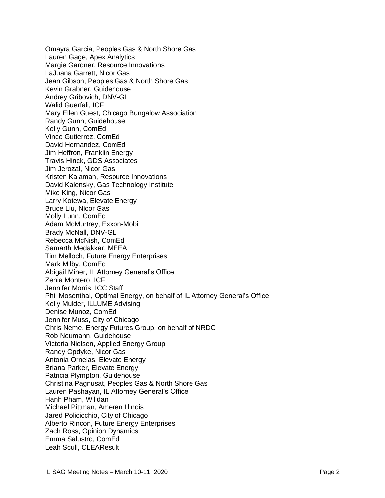Omayra Garcia, Peoples Gas & North Shore Gas Lauren Gage, Apex Analytics Margie Gardner, Resource Innovations LaJuana Garrett, Nicor Gas Jean Gibson, Peoples Gas & North Shore Gas Kevin Grabner, Guidehouse Andrey Gribovich, DNV-GL Walid Guerfali, ICF Mary Ellen Guest, Chicago Bungalow Association Randy Gunn, Guidehouse Kelly Gunn, ComEd Vince Gutierrez, ComEd David Hernandez, ComEd Jim Heffron, Franklin Energy Travis Hinck, GDS Associates Jim Jerozal, Nicor Gas Kristen Kalaman, Resource Innovations David Kalensky, Gas Technology Institute Mike King, Nicor Gas Larry Kotewa, Elevate Energy Bruce Liu, Nicor Gas Molly Lunn, ComEd Adam McMurtrey, Exxon-Mobil Brady McNall, DNV-GL Rebecca McNish, ComEd Samarth Medakkar, MEEA Tim Melloch, Future Energy Enterprises Mark Milby, ComEd Abigail Miner, IL Attorney General's Office Zenia Montero, ICF Jennifer Morris, ICC Staff Phil Mosenthal, Optimal Energy, on behalf of IL Attorney General's Office Kelly Mulder, ILLUME Advising Denise Munoz, ComEd Jennifer Muss, City of Chicago Chris Neme, Energy Futures Group, on behalf of NRDC Rob Neumann, Guidehouse Victoria Nielsen, Applied Energy Group Randy Opdyke, Nicor Gas Antonia Ornelas, Elevate Energy Briana Parker, Elevate Energy Patricia Plympton, Guidehouse Christina Pagnusat, Peoples Gas & North Shore Gas Lauren Pashayan, IL Attorney General's Office Hanh Pham, Willdan Michael Pittman, Ameren Illinois Jared Policicchio, City of Chicago Alberto Rincon, Future Energy Enterprises Zach Ross, Opinion Dynamics Emma Salustro, ComEd Leah Scull, CLEAResult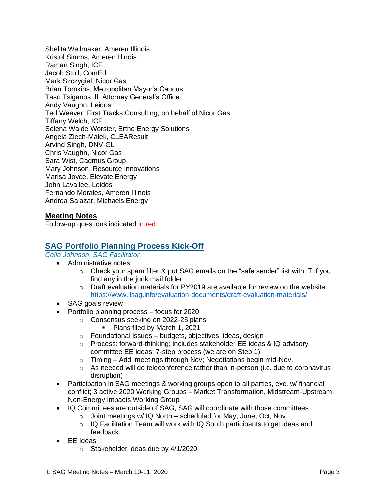Shelita Wellmaker, Ameren Illinois Kristol Simms, Ameren Illinois Raman Singh, ICF Jacob Stoll, ComEd Mark Szczygiel, Nicor Gas Brian Tomkins, Metropolitan Mayor's Caucus Taso Tsiganos, IL Attorney General's Office Andy Vaughn, Leidos Ted Weaver, First Tracks Consulting, on behalf of Nicor Gas Tiffany Welch, ICF Selena Walde Worster, Erthe Energy Solutions Angela Ziech-Malek, CLEAResult Arvind Singh, DNV-GL Chris Vaughn, Nicor Gas Sara Wist, Cadmus Group Mary Johnson, Resource Innovations Marisa Joyce, Elevate Energy John Lavallee, Leidos Fernando Morales, Ameren Illinois Andrea Salazar, Michaels Energy

# **Meeting Notes**

Follow-up questions indicated in red.

# **SAG Portfolio Planning Process Kick-Off**

*Celia Johnson, SAG Facilitator*

- Administrative notes
	- $\circ$  Check your spam filter & put SAG emails on the "safe sender" list with IT if you find any in the junk mail folder
	- o Draft evaluation materials for PY2019 are available for review on the website: <https://www.ilsag.info/evaluation-documents/draft-evaluation-materials/>
- SAG goals review
- Portfolio planning process focus for 2020
	- o Consensus seeking on 2022-25 plans
		- Plans filed by March 1, 2021
	- $\circ$  Foundational issues budgets, objectives, ideas, design
	- o Process: forward-thinking; includes stakeholder EE ideas & IQ advisory committee EE ideas; 7-step process (we are on Step 1)
	- o Timing Addl meetings through Nov; Negotiations begin mid-Nov.
	- $\circ$  As needed will do teleconference rather than in-person (i.e. due to coronavirus disruption)
- Participation in SAG meetings & working groups open to all parties, exc. w/ financial conflict; 3 active 2020 Working Groups – Market Transformation, Midstream-Upstream, Non-Energy Impacts Working Group
- IQ Committees are outside of SAG, SAG will coordinate with those committees
	- o Joint meetings w/ IQ North scheduled for May, June, Oct, Nov
	- $\circ$  IQ Facilitation Team will work with IQ South participants to get ideas and feedback
- EE Ideas
	- o Stakeholder ideas due by 4/1/2020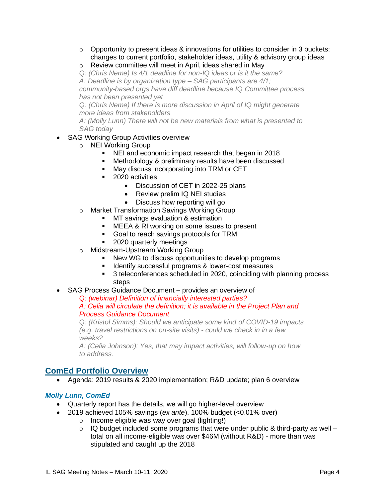- o Opportunity to present ideas & innovations for utilities to consider in 3 buckets: changes to current portfolio, stakeholder ideas, utility & advisory group ideas
- o Review committee will meet in April, ideas shared in May

*Q: (Chris Neme) Is 4/1 deadline for non-IQ ideas or is it the same? A: Deadline is by organization type – SAG participants are 4/1; community-based orgs have diff deadline because IQ Committee process has not been presented yet*

*Q: (Chris Neme) If there is more discussion in April of IQ might generate more ideas from stakeholders*

*A: (Molly Lunn) There will not be new materials from what is presented to SAG today*

# • SAG Working Group Activities overview

- o NEI Working Group
	- NEI and economic impact research that began in 2018
	- Methodology & preliminary results have been discussed
	- May discuss incorporating into TRM or CET
	- 2020 activities
		- Discussion of CET in 2022-25 plans
		- Review prelim IQ NEI studies
		- Discuss how reporting will go
- o Market Transformation Savings Working Group
	- **■** MT savings evaluation & estimation
	- MEEA & RI working on some issues to present
	- Goal to reach savings protocols for TRM
	- 2020 quarterly meetings
- o Midstream-Upstream Working Group
	- New WG to discuss opportunities to develop programs
	- Identify successful programs & lower-cost measures
	- 3 teleconferences scheduled in 2020, coinciding with planning process steps
- SAG Process Guidance Document provides an overview of

*Q: (webinar) Definition of financially interested parties?*

# *A: Celia will circulate the definition; it is available in the Project Plan and Process Guidance Document*

*Q: (Kristol Simms): Should we anticipate some kind of COVID-19 impacts (e.g. travel restrictions on on-site visits) - could we check in in a few weeks?*

*A: (Celia Johnson): Yes, that may impact activities, will follow-up on how to address.* 

# **ComEd Portfolio Overview**

• Agenda: 2019 results & 2020 implementation; R&D update; plan 6 overview

# *Molly Lunn, ComEd*

- Quarterly report has the details, we will go higher-level overview
- 2019 achieved 105% savings (*ex ante*), 100% budget (<0.01% over)
	- o Income eligible was way over goal (lighting!)
	- $\circ$  IQ budget included some programs that were under public & third-party as well total on all income-eligible was over \$46M (without R&D) - more than was stipulated and caught up the 2018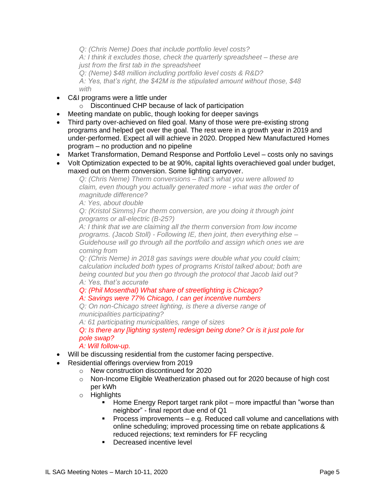*Q: (Chris Neme) Does that include portfolio level costs?*

*A: I think it excludes those, check the quarterly spreadsheet – these are just from the first tab in the spreadsheet*

*Q: (Neme) \$48 million including portfolio level costs & R&D? A: Yes, that's right, the \$42M is the stipulated amount without those, \$48 with*

- C&I programs were a little under
	- o Discontinued CHP because of lack of participation
- Meeting mandate on public, though looking for deeper savings
- Third party over-achieved on filed goal. Many of those were pre-existing strong programs and helped get over the goal. The rest were in a growth year in 2019 and under-performed. Expect all will achieve in 2020. Dropped New Manufactured Homes program – no production and no pipeline
- Market Transformation, Demand Response and Portfolio Level costs only no savings
- Volt Optimization expected to be at 90%, capital lights overachieved goal under budget, maxed out on therm conversion. Some lighting carryover.

*Q: (Chris Neme) Therm conversions – that's what you were allowed to claim, even though you actually generated more - what was the order of magnitude difference?*

*A: Yes, about double*

*Q: (Kristol Simms) For therm conversion, are you doing it through joint programs or all-electric (B-25?)*

*A: I think that we are claiming all the therm conversion from low income programs. (Jacob Stoll) - Following IE, then joint, then everything else – Guidehouse will go through all the portfolio and assign which ones we are coming from*

*Q: (Chris Neme) in 2018 gas savings were double what you could claim; calculation included both types of programs Kristol talked about; both are being counted but you then go through the protocol that Jacob laid out? A: Yes, that's accurate*

*Q: (Phil Mosenthal) What share of streetlighting is Chicago?*

# *A: Savings were 77% Chicago, I can get incentive numbers*

*Q: On non-Chicago street lighting, is there a diverse range of municipalities participating?*

*A: 61 participating municipalities, range of sizes*

*Q: Is there any [lighting system] redesign being done? Or is it just pole for pole swap?*

# *A: Will follow-up.*

- Will be discussing residential from the customer facing perspective.
- Residential offerings overview from 2019
	- o New construction discontinued for 2020
	- o Non-Income Eligible Weatherization phased out for 2020 because of high cost per kWh
	- o Highlights
		- Home Energy Report target rank pilot more impactful than "worse than neighbor" - final report due end of Q1
		- Process improvements e.g. Reduced call volume and cancellations with online scheduling; improved processing time on rebate applications & reduced rejections; text reminders for FF recycling
		- Decreased incentive level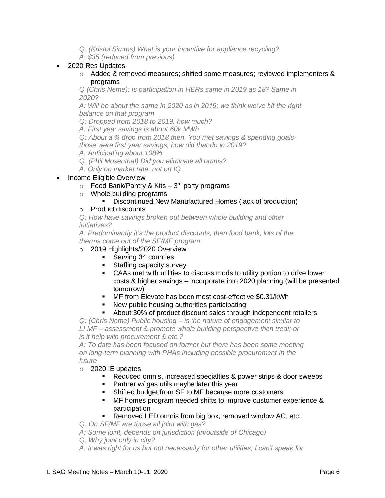*Q: (Kristol Simms) What is your incentive for appliance recycling?*

*A: \$35 (reduced from previous)*

# • 2020 Res Updates

 $\circ$  Added & removed measures; shifted some measures; reviewed implementers & programs

*Q (Chris Neme): Is participation in HERs same in 2019 as 18? Same in 2020?*

*A: Will be about the same in 2020 as in 2019; we think we've hit the right balance on that program*

*Q: Dropped from 2018 to 2019, how much?*

*A: First year savings is about 60k MWh* 

*Q: About a ¾ drop from 2018 then. You met savings & spending goals-*

*those were first year savings; how did that do in 2019?*

*A: Anticipating about 108%*

*Q: (Phil Mosenthal) Did you eliminate all omnis?*

*A: Only on market rate, not on IQ*

- Income Eligible Overview
	- $\circ$  Food Bank/Pantry & Kits 3<sup>rd</sup> party programs
	- o Whole building programs

# ▪ Discontinued New Manufactured Homes (lack of production)

### o Product discounts

*Q: How have savings broken out between whole building and other initiatives?*

*A: Predominantly it's the product discounts, then food bank; lots of the therms come out of the SF/MF program*

# o 2019 Highlights/2020 Overview

- Serving 34 counties
	- Staffing capacity survey
	- CAAs met with utilities to discuss mods to utility portion to drive lower costs & higher savings – incorporate into 2020 planning (will be presented tomorrow)
	- MF from Elevate has been most cost-effective \$0.31/kWh
	- New public housing authorities participating

#### About 30% of product discount sales through independent retailers

*Q: (Chris Neme) Public housing – is the nature of engagement similar to LI MF – assessment & promote whole building perspective then treat; or is it help with procurement & etc.?*

*A: To date has been focused on former but there has been some meeting on long-term planning with PHAs including possible procurement in the future*

#### o 2020 IE updates

- Reduced omnis, increased specialties & power strips & door sweeps
- Partner w/ gas utils maybe later this year
- Shifted budget from SF to MF because more customers
- MF homes program needed shifts to improve customer experience & participation

### ■ Removed LED omnis from big box, removed window AC, etc.

*Q: On SF/MF are those all joint with gas?*

- *A: Some joint, depends on jurisdiction (in/outside of Chicago)*
- *Q: Why joint only in city?*
- *A: It was right for us but not necessarily for other utilities; I can't speak for*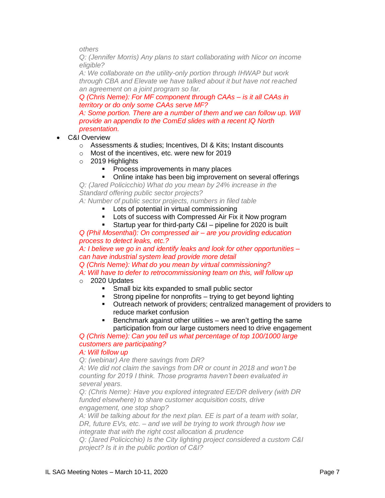*others*

*Q: (Jennifer Morris) Any plans to start collaborating with Nicor on income eligible?*

*A: We collaborate on the utility-only portion through IHWAP but work through CBA and Elevate we have talked about it but have not reached an agreement on a joint program so far.* 

*Q (Chris Neme): For MF component through CAAs – is it all CAAs in territory or do only some CAAs serve MF?*

A: Some portion. There are a number of them and we can follow up. Will *provide an appendix to the ComEd slides with a recent IQ North presentation.*

- C&I Overview
	- o Assessments & studies; Incentives, DI & Kits; Instant discounts
	- o Most of the incentives, etc. were new for 2019
	- o 2019 Highlights
		- **Process improvements in many places**
		- Online intake has been big improvement on several offerings

*Q: (Jared Policicchio) What do you mean by 24% increase in the Standard offering public sector projects?*

*A: Number of public sector projects, numbers in filed table*

- **EXECT** Lots of potential in virtual commissioning
- Lots of success with Compressed Air Fix it Now program
- Startup year for third-party C&I pipeline for 2020 is built

*Q (Phil Mosenthal): On compressed air – are you providing education process to detect leaks, etc.?*

*A: I believe we go in and identify leaks and look for other opportunities – can have industrial system lead provide more detail*

*Q (Chris Neme): What do you mean by virtual commissioning? A: Will have to defer to retrocommissioning team on this, will follow up*

- o 2020 Updates
	- Small biz kits expanded to small public sector
	- Strong pipeline for nonprofits trying to get beyond lighting
	- Outreach network of providers; centralized management of providers to reduce market confusion
	- Benchmark against other utilities we aren't getting the same participation from our large customers need to drive engagement

*Q (Chris Neme): Can you tell us what percentage of top 100/1000 large customers are participating?*

### *A: Will follow up*

*Q: (webinar) Are there savings from DR?*

*A: We did not claim the savings from DR or count in 2018 and won't be counting for 2019 I think. Those programs haven't been evaluated in several years.*

*Q: (Chris Neme): Have you explored integrated EE/DR delivery (with DR funded elsewhere) to share customer acquisition costs, drive engagement, one stop shop?*

*A: Will be talking about for the next plan. EE is part of a team with solar, DR, future EVs, etc. – and we will be trying to work through how we integrate that with the right cost allocation & prudence Q: (Jared Policicchio) Is the City lighting project considered a custom C&I* 

*project? Is it in the public portion of C&I?*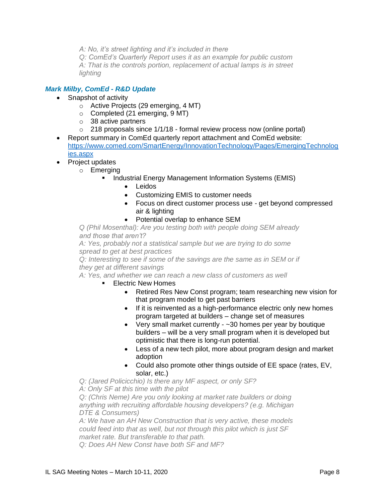*A: No, it's street lighting and it's included in there* 

*Q: ComEd's Quarterly Report uses it as an example for public custom A: That is the controls portion, replacement of actual lamps is in street lighting*

# *Mark Milby, ComEd - R&D Update*

- Snapshot of activity
	- o Active Projects (29 emerging, 4 MT)
	- o Completed (21 emerging, 9 MT)
	- o 38 active partners
	- $\circ$  218 proposals since 1/1/18 formal review process now (online portal)
- Report summary in ComEd quarterly report attachment and ComEd website: [https://www.comed.com/SmartEnergy/InnovationTechnology/Pages/EmergingTechnolog](https://www.comed.com/SmartEnergy/InnovationTechnology/Pages/EmergingTechnologies.aspx) [ies.aspx](https://www.comed.com/SmartEnergy/InnovationTechnology/Pages/EmergingTechnologies.aspx)
- Project updates
	- o Emerging
		- Industrial Energy Management Information Systems (EMIS)
			- Leidos
			- Customizing EMIS to customer needs
			- Focus on direct customer process use get beyond compressed air & lighting
			- Potential overlap to enhance SEM

*Q (Phil Mosenthal): Are you testing both with people doing SEM already and those that aren't?*

*A: Yes, probably not a statistical sample but we are trying to do some spread to get at best practices*

*Q: Interesting to see if some of the savings are the same as in SEM or if they get at different savings*

*A: Yes, and whether we can reach a new class of customers as well*

- **Electric New Homes** 
	- Retired Res New Const program; team researching new vision for that program model to get past barriers
	- If it is reinvented as a high-performance electric only new homes program targeted at builders – change set of measures
	- Very small market currently ~30 homes per year by boutique builders – will be a very small program when it is developed but optimistic that there is long-run potential.
	- Less of a new tech pilot, more about program design and market adoption
	- Could also promote other things outside of EE space (rates, EV, solar, etc.)

*Q: (Jared Policicchio) Is there any MF aspect, or only SF?*

*A: Only SF at this time with the pilot*

*Q: (Chris Neme) Are you only looking at market rate builders or doing anything with recruiting affordable housing developers? (e.g. Michigan DTE & Consumers)*

*A: We have an AH New Construction that is very active, these models could feed into that as well, but not through this pilot which is just SF market rate. But transferable to that path.*

*Q: Does AH New Const have both SF and MF?*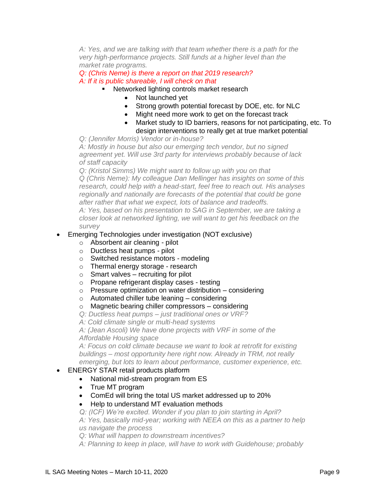*A: Yes, and we are talking with that team whether there is a path for the very high-performance projects. Still funds at a higher level than the market rate programs.*

*Q: (Chris Neme) is there a report on that 2019 research? A: If it is public shareable, I will check on that*

- Networked lighting controls market research
	- Not launched vet
	- Strong growth potential forecast by DOE, etc. for NLC
	- Might need more work to get on the forecast track
	- Market study to ID barriers, reasons for not participating, etc. To design interventions to really get at true market potential

*Q: (Jennifer Morris) Vendor or in-house?*

*A: Mostly in house but also our emerging tech vendor, but no signed agreement yet. Will use 3rd party for interviews probably because of lack of staff capacity*

*Q: (Kristol Simms) We might want to follow up with you on that Q (Chris Neme): My colleague Dan Mellinger has insights on some of this research, could help with a head-start, feel free to reach out. His analyses regionally and nationally are forecasts of the potential that could be gone after rather that what we expect, lots of balance and tradeoffs.*

*A: Yes, based on his presentation to SAG in September, we are taking a closer look at networked lighting, we will want to get his feedback on the survey*

# • Emerging Technologies under investigation (NOT exclusive)

- o Absorbent air cleaning pilot
- o Ductless heat pumps pilot
- o Switched resistance motors modeling
- o Thermal energy storage research
- $\circ$  Smart valves recruiting for pilot
- o Propane refrigerant display cases testing
- $\circ$  Pressure optimization on water distribution considering
- o Automated chiller tube leaning considering
- o Magnetic bearing chiller compressors considering
- *Q: Ductless heat pumps – just traditional ones or VRF?*
- *A: Cold climate single or multi-head systems*

*A: (Jean Ascoli) We have done projects with VRF in some of the Affordable Housing space*

*A: Focus on cold climate because we want to look at retrofit for existing buildings – most opportunity here right now. Already in TRM, not really emerging, but lots to learn about performance, customer experience, etc.*

# • ENERGY STAR retail products platform

- National mid-stream program from ES
- True MT program
- ComEd will bring the total US market addressed up to 20%
- Help to understand MT evaluation methods
- *Q: (ICF) We're excited. Wonder if you plan to join starting in April?*

*A: Yes, basically mid-year; working with NEEA on this as a partner to help us navigate the process*

*Q: What will happen to downstream incentives?*

*A: Planning to keep in place, will have to work with Guidehouse; probably*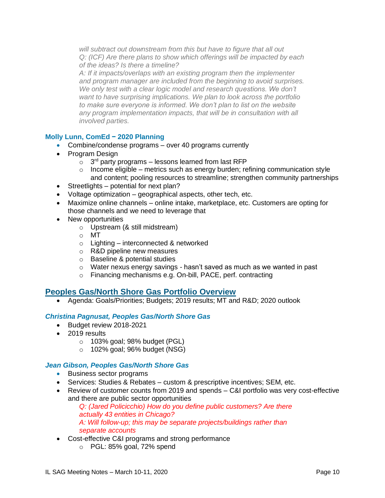*will subtract out downstream from this but have to figure that all out Q: (ICF) Are there plans to show which offerings will be impacted by each of the ideas? Is there a timeline?*

*A: If it impacts/overlaps with an existing program then the implementer and program manager are included from the beginning to avoid surprises. We only test with a clear logic model and research questions. We don't want to have surprising implications. We plan to look across the portfolio to make sure everyone is informed. We don't plan to list on the website any program implementation impacts, that will be in consultation with all involved parties.*

# **Molly Lunn, ComEd − 2020 Planning**

- Combine/condense programs over 40 programs currently
- Program Design
	- $\circ$  3<sup>rd</sup> party programs lessons learned from last RFP
	- $\circ$  Income eligible metrics such as energy burden; refining communication style and content; pooling resources to streamline; strengthen community partnerships
- Streetlights potential for next plan?
- Voltage optimization geographical aspects, other tech, etc.
- Maximize online channels online intake, marketplace, etc. Customers are opting for those channels and we need to leverage that
- New opportunities
	- o Upstream (& still midstream)
	- o MT
	- o Lighting interconnected & networked
	- o R&D pipeline new measures
	- o Baseline & potential studies
	- o Water nexus energy savings hasn't saved as much as we wanted in past
	- o Financing mechanisms e.g. On-bill, PACE, perf. contracting

# **Peoples Gas/North Shore Gas Portfolio Overview**

• Agenda: Goals/Priorities; Budgets; 2019 results; MT and R&D; 2020 outlook

# *Christina Pagnusat, Peoples Gas/North Shore Gas*

- Budget review 2018-2021
- 2019 results
	- $\circ$  103% goal; 98% budget (PGL)
	- o 102% goal; 96% budget (NSG)

#### *Jean Gibson, Peoples Gas/North Shore Gas*

- Business sector programs
- Services: Studies & Rebates custom & prescriptive incentives; SEM, etc.
- Review of customer counts from 2019 and spends C&I portfolio was very cost-effective and there are public sector opportunities

*Q: (Jared Policicchio) How do you define public customers? Are there actually 43 entities in Chicago? A: Will follow-up; this may be separate projects/buildings rather than separate accounts* 

- Cost-effective C&I programs and strong performance
	- o PGL: 85% goal, 72% spend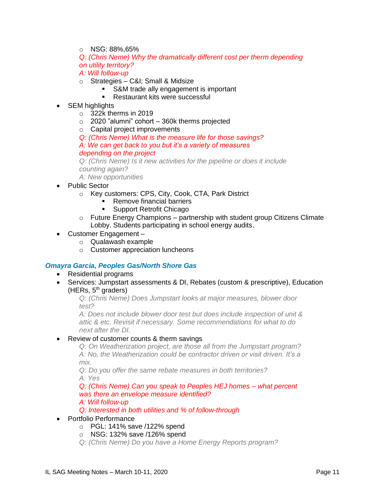- o NSG: 88%,65%
- *Q: (Chris Neme) Why the dramatically different cost per therm depending on utility territory?*
- *A: Will follow-up*
- o Strategies C&I; Small & Midsize
	- **S&M trade ally engagement is important**
	- Restaurant kits were successful
- SEM highlights
	- o 322k therms in 2019
	- $\circ$  2020 "alumni" cohort 360k therms projected
	- o Capital project improvements
	- *Q: (Chris Neme) What is the measure life for those savings?*

*A: We can get back to you but it's a variety of measures depending on the project*

*Q: (Chris Neme) Is it new activities for the pipeline or does it include counting again?*

*A: New opportunities*

- Public Sector
	- o Key customers: CPS, City, Cook, CTA, Park District
		- Remove financial barriers
		- Support Retrofit Chicago
	- $\circ$  Future Energy Champions partnership with student group Citizens Climate Lobby. Students participating in school energy audits.
- Customer Engagement
	- o Qualawash example
	- o Customer appreciation luncheons

# *Omayra Garcia, Peoples Gas/North Shore Gas*

- Residential programs
- Services: Jumpstart assessments & DI, Rebates (custom & prescriptive), Education (HERs,  $5<sup>th</sup>$  graders)

*Q: (Chris Neme) Does Jumpstart looks at major measures, blower door test?*

*A: Does not include blower door test but does include inspection of unit & attic & etc. Revisit if necessary. Some recommendations for what to do next after the DI.*

• Review of customer counts & therm savings

*Q: On Weatherization project, are those all from the Jumpstart program? A: No, the Weatherization could be contractor driven or visit driven. It's a mix.*

*Q: Do you offer the same rebate measures in both territories? A: Yes*

*Q: (Chris Neme) Can you speak to Peoples HEJ homes – what percent was there an envelope measure identified? A: Will follow-up*

*Q: Interested in both utilities and % of follow-through*

- Portfolio Performance
	- o PGL: 141% save /122% spend
	- o NSG: 132% save /126% spend
	- *Q: (Chris Neme) Do you have a Home Energy Reports program?*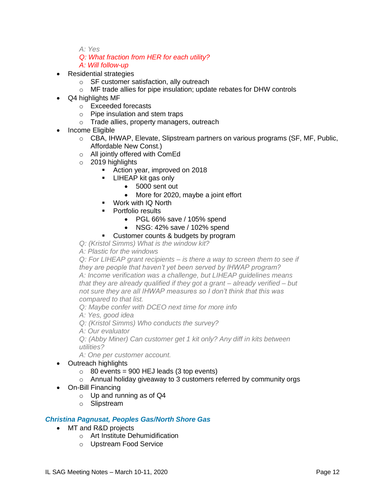*A: Yes*

- *Q: What fraction from HER for each utility?*
- *A: Will follow-up*
- Residential strategies
	- o SF customer satisfaction, ally outreach
	- o MF trade allies for pipe insulation; update rebates for DHW controls
- Q4 highlights MF
	- o Exceeded forecasts
	- o Pipe insulation and stem traps
	- o Trade allies, property managers, outreach
- Income Eligible
	- o CBA, IHWAP, Elevate, Slipstream partners on various programs (SF, MF, Public, Affordable New Const.)
	- o All jointly offered with ComEd
	- o 2019 highlights
		- Action year, improved on 2018
		- **E** LIHEAP kit gas only
			- 5000 sent out
			- More for 2020, maybe a joint effort
		- Work with IQ North
		- Portfolio results
			- PGL 66% save / 105% spend
			- NSG: 42% save / 102% spend
		- Customer counts & budgets by program
	- *Q: (Kristol Simms) What is the window kit?*
	- *A: Plastic for the windows*
	- *Q: For LIHEAP grant recipients – is there a way to screen them to see if they are people that haven't yet been served by IHWAP program? A: Income verification was a challenge, but LIHEAP guidelines means that they are already qualified if they got a grant – already verified – but not sure they are all IHWAP measures so I don't think that this was compared to that list.*

*Q: Maybe confer with DCEO next time for more info*

- *A: Yes, good idea*
- *Q: (Kristol Simms) Who conducts the survey?*
- *A: Our evaluator*

*Q: (Abby Miner) Can customer get 1 kit only? Any diff in kits between utilities?*

*A: One per customer account.*

- Outreach highlights
	- $\circ$  80 events = 900 HEJ leads (3 top events)
	- o Annual holiday giveaway to 3 customers referred by community orgs
- On-Bill Financing
	- $\circ$  Up and running as of Q4
	- o Slipstream

# *Christina Pagnusat, Peoples Gas/North Shore Gas*

- MT and R&D projects
	- o Art Institute Dehumidification
	- o Upstream Food Service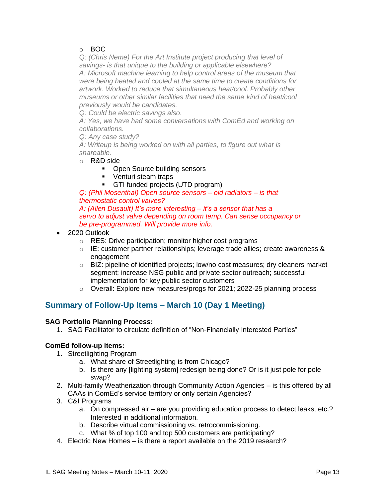# o BOC

*Q: (Chris Neme) For the Art Institute project producing that level of savings- is that unique to the building or applicable elsewhere? A: Microsoft machine learning to help control areas of the museum that were being heated and cooled at the same time to create conditions for artwork. Worked to reduce that simultaneous heat/cool. Probably other museums or other similar facilities that need the same kind of heat/cool previously would be candidates.*

*Q: Could be electric savings also.*

*A: Yes, we have had some conversations with ComEd and working on collaborations.* 

*Q: Any case study?*

*A: Writeup is being worked on with all parties, to figure out what is shareable.*

- o R&D side
	- Open Source building sensors
	- Venturi steam traps
	- GTI funded projects (UTD program)

*Q: (Phil Mosenthal) Open source sensors – old radiators – is that thermostatic control valves? A: (Allen Dusault) It's more interesting – it's a sensor that has a servo to adjust valve depending on room temp. Can sense occupancy or* 

*be pre-programmed. Will provide more info.*

- 2020 Outlook
	- o RES: Drive participation; monitor higher cost programs
	- o IE: customer partner relationships; leverage trade allies; create awareness & engagement
	- o BIZ: pipeline of identified projects; low/no cost measures; dry cleaners market segment; increase NSG public and private sector outreach; successful implementation for key public sector customers
	- $\circ$  Overall: Explore new measures/progs for 2021; 2022-25 planning process

# **Summary of Follow-Up Items – March 10 (Day 1 Meeting)**

#### **SAG Portfolio Planning Process:**

1. SAG Facilitator to circulate definition of "Non-Financially Interested Parties"

# **ComEd follow-up items:**

- 1. Streetlighting Program
	- a. What share of Streetlighting is from Chicago?
	- b. Is there any [lighting system] redesign being done? Or is it just pole for pole swap?
- 2. Multi-family Weatherization through Community Action Agencies is this offered by all CAAs in ComEd's service territory or only certain Agencies?
- 3. C&I Programs
	- a. On compressed air are you providing education process to detect leaks, etc.? Interested in additional information.
	- b. Describe virtual commissioning vs. retrocommissioning.
	- c. What % of top 100 and top 500 customers are participating?
- 4. Electric New Homes is there a report available on the 2019 research?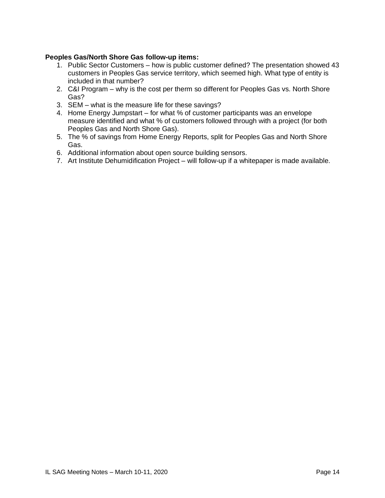# **Peoples Gas/North Shore Gas follow-up items:**

- 1. Public Sector Customers how is public customer defined? The presentation showed 43 customers in Peoples Gas service territory, which seemed high. What type of entity is included in that number?
- 2. C&I Program why is the cost per therm so different for Peoples Gas vs. North Shore Gas?
- 3. SEM what is the measure life for these savings?
- 4. Home Energy Jumpstart for what % of customer participants was an envelope measure identified and what % of customers followed through with a project (for both Peoples Gas and North Shore Gas).
- 5. The % of savings from Home Energy Reports, split for Peoples Gas and North Shore Gas.
- 6. Additional information about open source building sensors.
- 7. Art Institute Dehumidification Project will follow-up if a whitepaper is made available.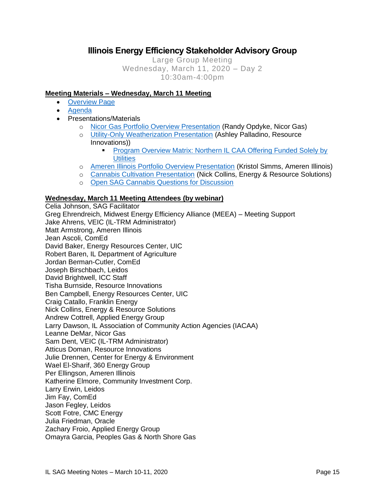# **Illinois Energy Efficiency Stakeholder Advisory Group**

Large Group Meeting Wednesday, March 11, 2020 – Day 2 10:30am-4:00pm

# **Meeting Materials – Wednesday, March 11 Meeting**

- [Overview Page](https://www.ilsag.info/event/wednesday-march-11-sag-meeting/)
- [Agenda](https://s3.amazonaws.com/ilsag/IL-EE-SAG_Wednesday-March-11-2020_Meeting_Agenda_Finalv3.pdf)
- Presentations/Materials
	- o [Nicor Gas Portfolio Overview Presentation](https://s3.amazonaws.com/ilsag/Nicor-Gas-EE-Portfolio-Overview-SAG-3-11-20-Final.pdf) (Randy Opdyke, Nicor Gas)
	- o [Utility-Only Weatherization Presentation](https://s3.amazonaws.com/ilsag/FINAL_Utility-CAA-SAG-Presentation_03112020.pdf) (Ashley Palladino, Resource Innovations))
		- **Program Overview Matrix: Northern IL CAA Offering Funded Solely by [Utilities](https://s3.amazonaws.com/ilsag/Northern-IL-Matrix_Utility-Only-including-Braided-Performance_03102020.pdf)**
	- o [Ameren Illinois Portfolio Overview Presentation](https://s3.amazonaws.com/ilsag/AIC-PY2019-Presentation-SAG-MAR_Final-Version.pdf) (Kristol Simms, Ameren Illinois)
	- o [Cannabis Cultivation Presentation](https://s3.amazonaws.com/ilsag/SAG_Cannabis_Presentation_March-2020_ERS.pdf) (Nick Collins, Energy & Resource Solutions)
	- o [Open SAG Cannabis Questions for Discussion](https://s3.amazonaws.com/ilsag/SAG-Open-Cannabis-Questions_final-draft_3-6-2020-for-review.pdf)

### **Wednesday, March 11 Meeting Attendees (by webinar)**

Celia Johnson, SAG Facilitator Greg Ehrendreich, Midwest Energy Efficiency Alliance (MEEA) – Meeting Support Jake Ahrens, VEIC (IL-TRM Administrator) Matt Armstrong, Ameren Illinois Jean Ascoli, ComEd David Baker, Energy Resources Center, UIC Robert Baren, IL Department of Agriculture Jordan Berman-Cutler, ComEd Joseph Birschbach, Leidos David Brightwell, ICC Staff Tisha Burnside, Resource Innovations Ben Campbell, Energy Resources Center, UIC Craig Catallo, Franklin Energy Nick Collins, Energy & Resource Solutions Andrew Cottrell, Applied Energy Group Larry Dawson, IL Association of Community Action Agencies (IACAA) Leanne DeMar, Nicor Gas Sam Dent, VEIC (IL-TRM Administrator) Atticus Doman, Resource Innovations Julie Drennen, Center for Energy & Environment Wael El-Sharif, 360 Energy Group Per Ellingson, Ameren Illinois Katherine Elmore, Community Investment Corp. Larry Erwin, Leidos Jim Fay, ComEd Jason Fegley, Leidos Scott Fotre, CMC Energy Julia Friedman, Oracle Zachary Froio, Applied Energy Group Omayra Garcia, Peoples Gas & North Shore Gas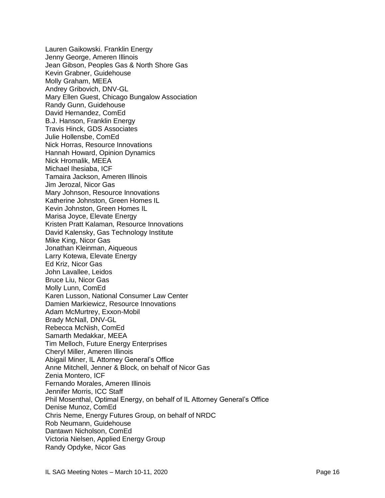Lauren Gaikowski. Franklin Energy Jenny George, Ameren Illinois Jean Gibson, Peoples Gas & North Shore Gas Kevin Grabner, Guidehouse Molly Graham, MEEA Andrey Gribovich, DNV-GL Mary Ellen Guest, Chicago Bungalow Association Randy Gunn, Guidehouse David Hernandez, ComEd B.J. Hanson, Franklin Energy Travis Hinck, GDS Associates Julie Hollensbe, ComEd Nick Horras, Resource Innovations Hannah Howard, Opinion Dynamics Nick Hromalik, MEEA Michael Ihesiaba, ICF Tamaira Jackson, Ameren Illinois Jim Jerozal, Nicor Gas Mary Johnson, Resource Innovations Katherine Johnston, Green Homes IL Kevin Johnston, Green Homes IL Marisa Joyce, Elevate Energy Kristen Pratt Kalaman, Resource Innovations David Kalensky, Gas Technology Institute Mike King, Nicor Gas Jonathan Kleinman, Aiqueous Larry Kotewa, Elevate Energy Ed Kriz, Nicor Gas John Lavallee, Leidos Bruce Liu, Nicor Gas Molly Lunn, ComEd Karen Lusson, National Consumer Law Center Damien Markiewicz, Resource Innovations Adam McMurtrey, Exxon-Mobil Brady McNall, DNV-GL Rebecca McNish, ComEd Samarth Medakkar, MEEA Tim Melloch, Future Energy Enterprises Cheryl Miller, Ameren Illinois Abigail Miner, IL Attorney General's Office Anne Mitchell, Jenner & Block, on behalf of Nicor Gas Zenia Montero, ICF Fernando Morales, Ameren Illinois Jennifer Morris, ICC Staff Phil Mosenthal, Optimal Energy, on behalf of IL Attorney General's Office Denise Munoz, ComEd Chris Neme, Energy Futures Group, on behalf of NRDC Rob Neumann, Guidehouse Dantawn Nicholson, ComEd Victoria Nielsen, Applied Energy Group Randy Opdyke, Nicor Gas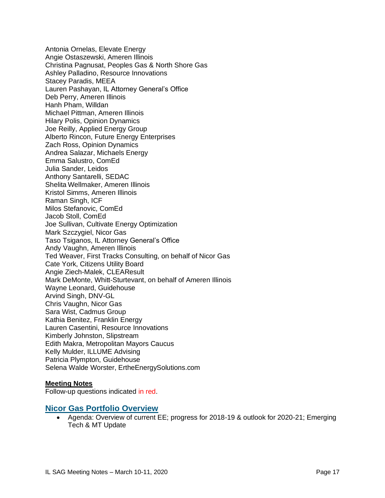Antonia Ornelas, Elevate Energy Angie Ostaszewski, Ameren Illinois Christina Pagnusat, Peoples Gas & North Shore Gas Ashley Palladino, Resource Innovations Stacey Paradis, MEEA Lauren Pashayan, IL Attorney General's Office Deb Perry, Ameren Illinois Hanh Pham, Willdan Michael Pittman, Ameren Illinois Hilary Polis, Opinion Dynamics Joe Reilly, Applied Energy Group Alberto Rincon, Future Energy Enterprises Zach Ross, Opinion Dynamics Andrea Salazar, Michaels Energy Emma Salustro, ComEd Julia Sander, Leidos Anthony Santarelli, SEDAC Shelita Wellmaker, Ameren Illinois Kristol Simms, Ameren Illinois Raman Singh, ICF Milos Stefanovic, ComEd Jacob Stoll, ComEd Joe Sullivan, Cultivate Energy Optimization Mark Szczygiel, Nicor Gas Taso Tsiganos, IL Attorney General's Office Andy Vaughn, Ameren Illinois Ted Weaver, First Tracks Consulting, on behalf of Nicor Gas Cate York, Citizens Utility Board Angie Ziech-Malek, CLEAResult Mark DeMonte, Whitt-Sturtevant, on behalf of Ameren Illinois Wayne Leonard, Guidehouse Arvind Singh, DNV-GL Chris Vaughn, Nicor Gas Sara Wist, Cadmus Group Kathia Benitez, Franklin Energy Lauren Casentini, Resource Innovations Kimberly Johnston, Slipstream Edith Makra, Metropolitan Mayors Caucus Kelly Mulder, ILLUME Advising Patricia Plympton, Guidehouse Selena Walde Worster, ErtheEnergySolutions.com

#### **Meeting Notes**

Follow-up questions indicated in red.

#### **Nicor Gas Portfolio Overview**

• Agenda: Overview of current EE; progress for 2018-19 & outlook for 2020-21; Emerging Tech & MT Update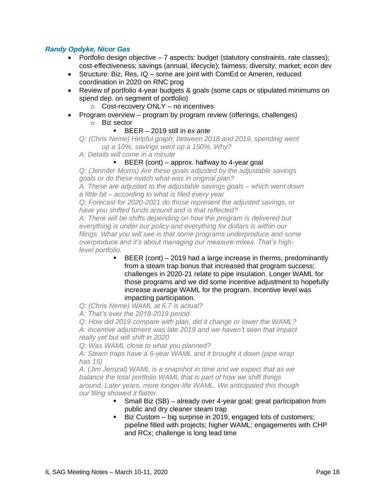# *Randy Opdyke, Nicor Gas*

- Portfolio design objective  $-7$  aspects: budget (statutory constraints, rate classes); cost-effectiveness; savings (annual, lifecycle); fairness; diversity; market; econ dev
- Structure: Biz, Res, IQ some are joint with ComEd or Ameren, reduced coordination in 2020 on RNC prog
- Review of portfolio 4-year budgets & goals (some caps or stipulated minimums on spend dep. on segment of portfolio)
	- $\circ$  Cost-recovery ONLY no incentives
- Program overview program by program review (offerings, challenges)
	- o Biz sector
		- BEER 2019 still in *ex ante*

```
Q: (Chris Neme) Helpful graph; between 2018 and 2019, spending went 
up a 10%, savings went up a 150%. Why?
```
- *A: Details will come in a minute*
	- **EXECUTE BLEF** (cont) approx. halfway to 4-year goal

*Q: (Jennifer Morris) Are these goals adjusted by the adjustable savings goals or do these match what was in original plan?*

*A: These are adjusted to the adjustable savings goals – which went down a little bit – according to what is filed every year*

*Q: Forecast for 2020-2021 do those represent the adjusted savings, or have you shifted funds around and is that reflected?*

*A: There will be shifts depending on how the program is delivered but everything is under our policy and everything for dollars is within our filings. What you will see is that some programs underproduce and some overproduce and it's about managing our measure mixes. That's highlevel portfolio.* 

> $BER (cont) - 2019$  had a large increase in therms, predominantly from a steam trap bonus that increased that program success; challenges in 2020-21 relate to pipe insulation. Longer WAML for those programs and we did some incentive adjustment to hopefully increase average WAML for the program. Incentive level was impacting participation.

*Q: (Chris Neme) WAML at 6.7 is actual?*

*A: That's over the 2018-2019 period*

*Q: How did 2019 compare with plan, did it change or lower the WAML?*

*A: Incentive adjustment was late 2019 and we haven't seen that impact really yet but will shift in 2020*

*Q: Was WAML close to what you planned?*

*A: Steam traps have a 6-year WAML and it brought it down (pipe wrap has 15)*

*A: (Jim Jerozal) WAML is a snapshot in time and we expect that as we balance the total portfolio WAML that is part of how we shift things around. Later years, more longer-life WAML. We anticipated this though our filing showed it flatter.*

- **EXECT** Small Biz (SB) already over 4-year goal; great participation from public and dry cleaner steam trap
- Biz Custom big surprise in 2019, engaged lots of customers; pipeline filled with projects; higher WAML; engagements with CHP and RCx; challenge is long lead time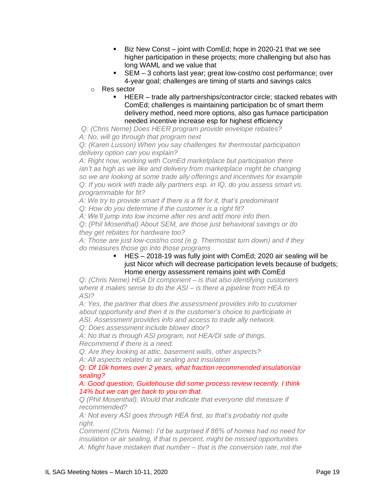- Biz New Const joint with ComEd; hope in 2020-21 that we see higher participation in these projects; more challenging but also has long WAML and we value that
- SEM 3 cohorts last year; great low-cost/no cost performance; over 4-year goal; challenges are timing of starts and savings calcs
- o Res sector
	- HEER trade ally partnerships/contractor circle; stacked rebates with ComEd; challenges is maintaining participation bc of smart therm delivery method, need more options, also gas furnace participation needed incentive increase esp for highest efficiency

*Q: (Chris Neme) Does HEER program provide envelope rebates? A: No, will go through that program next*

*Q: (Karen Lusson) When you say challenges for thermostat participation delivery option can you explain?*

*A: Right now, working with ComEd marketplace but participation there* isn't as high as we like and delivery from marketplace might be changing *so we are looking at some trade ally offerings and incentives for example Q: If you work with trade ally partners esp. in IQ, do you assess smart vs. programmable for fit?*

*A: We try to provide smart if there is a fit for it, that's predominant*

*Q: How do you determine if the customer is a right fit?*

*A: We'll jump into low income after res and add more info then.*

*Q: (Phil Mosenthal) About SEM, are those just behavioral savings or do they get rebates for hardware too?*

*A: Those are just low-cost/no cost (e.g. Thermostat turn down) and if they do measures those go into those programs*

#### ▪ HES – 2018-19 was fully joint with ComEd; 2020 air sealing will be just Nicor which will decrease participation levels because of budgets; Home energy assessment remains joint with ComEd

*Q: (Chris Neme) HEA DI component – is that also identifying customers where it makes sense to do the ASI – is there a pipeline from HEA to ASI?*

*A: Yes, the partner that does the assessment provides info to customer about opportunity and then it is the customer's choice to participate in ASI. Assessment provides info and access to trade ally network.*

*Q: Does assessment include blower door?*

*A: No that is through ASI program, not HEA/DI side of things. Recommend if there is a need.*

*Q: Are they looking at attic, basement walls, other aspects?*

*A: All aspects related to air sealing and insulation*

### *Q: Of 10k homes over 2 years, what fraction recommended insulation/air sealing?*

*A: Good question, Guidehouse did some process review recently. I think 14% but we can get back to you on that.*

*Q (Phil Mosenthal): Would that indicate that everyone did measure if recommended?*

*A: Not every ASI goes through HEA first, so that's probably not quite right.*

*Comment (Chris Neme): I'd be surprised if 86% of homes had no need for insulation or air sealing, if that is percent, might be missed opportunities A: Might have mistaken that number – that is the conversion rate, not the*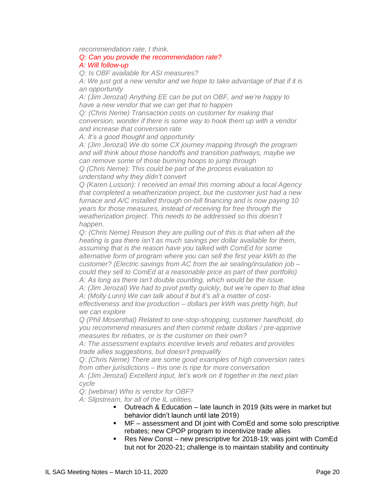*recommendation rate, I think.* 

# *Q: Can you provide the recommendation rate?*

#### *A: Will follow-up*

*Q: Is OBF available for ASI measures?*

*A: We just got a new vendor and we hope to take advantage of that if it is an opportunity*

*A: (Jim Jerozal) Anything EE can be put on OBF, and we're happy to have a new vendor that we can get that to happen*

*Q: (Chris Neme) Transaction costs on customer for making that conversion, wonder if there is some way to hook them up with a vendor and increase that conversion rate*

*A: It's a good thought and opportunity*

*A: (Jim Jerozal) We do some CX journey mapping through the program and will think about those handoffs and transition pathways, maybe we can remove some of those burning hoops to jump through*

*Q (Chris Neme): This could be part of the process evaluation to understand why they didn't convert*

*Q (Karen Lusson): I received an email this morning about a local Agency that completed a weatherization project, but the customer just had a new furnace and A/C installed through on-bill financing and is now paying 10 years for those measures, instead of receiving for free through the weatherization project. This needs to be addressed so this doesn't happen.*

*Q: (Chris Neme) Reason they are pulling out of this is that when all the heating is gas there isn't as much savings per dollar available for them, assuming that is the reason have you talked with ComEd for some alternative form of program where you can sell the first year kWh to the customer? (Electric savings from AC from the air sealing/insulation job – could they sell to ComEd at a reasonable price as part of their portfolio) A: As long as there isn't double counting, which would be the issue.*

*A: (Jim Jerozal) We had to pivot pretty quickly, but we're open to that idea A: (Molly Lunn) We can talk about it but it's all a matter of cost-*

*effectiveness and low production – dollars per kWh was pretty high, but we can explore*

*Q (Phil Mosenthal) Related to one-stop-shopping, customer handhold, do you recommend measures and then commit rebate dollars / pre-approve measures for rebates, or is the customer on their own?*

*A: The assessment explains incentive levels and rebates and provides trade allies suggestions, but doesn't prequalify* 

*Q: (Chris Neme) There are some good examples of high conversion rates from other jurisdictions – this one is ripe for more conversation A: (Jim Jerozal) Excellent input, let's work on it together in the next plan* 

*cycle*

*Q: (webinar) Who is vendor for OBF?*

*A: Slipstream, for all of the IL utilities.*

- Outreach & Education late launch in 2019 (kits were in market but behavior didn't launch until late 2019)
- MF assessment and DI joint with ComEd and some solo prescriptive rebates; new CPOP program to incentivize trade allies
- Res New Const new prescriptive for 2018-19; was joint with ComEd but not for 2020-21; challenge is to maintain stability and continuity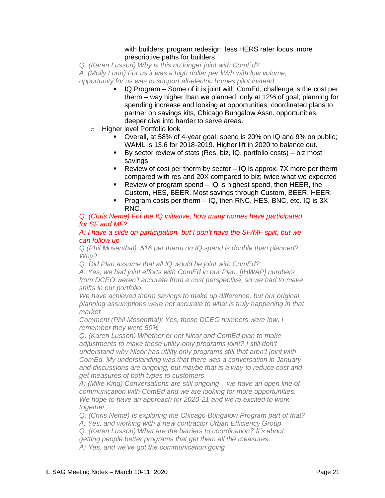#### with builders; program redesign; less HERS rater focus, more prescriptive paths for builders

*Q: (Karen Lusson) Why is this no longer joint with ComEd?*

*A: (Molly Lunn) For us it was a high dollar per kWh with low volume,* 

*opportunity for us was to support all-electric homes pilot instead*

- IQ Program Some of it is joint with ComEd; challenge is the cost per therm – way higher than we planned; only at 12% of goal; planning for spending increase and looking at opportunities; coordinated plans to partner on savings kits, Chicago Bungalow Assn. opportunities, deeper dive into harder to serve areas.
- o Higher level Portfolio look
	- Overall, at 58% of 4-year goal; spend is 20% on IQ and 9% on public; WAML is 13.6 for 2018-2019. Higher lift in 2020 to balance out.
	- By sector review of stats (Res, biz, IQ, portfolio costs) biz most savings
	- **E** Review of cost per therm by sector  $-$  IQ is approx. 7X more per therm compared with res and 20X compared to biz; twice what we expected
	- **•** Review of program spend  $-$  IQ is highest spend, then HEER, the Custom, HES, BEER. Most savings through Custom, BEER, HEER.
	- Program costs per therm IQ, then RNC, HES, BNC, etc. IQ is 3X RNC.

### *Q: (Chris Neme) For the IQ initiative, how many homes have participated for SF and MF?*

#### *A: I have a slide on participation, but I don't have the SF/MF split, but we can follow up*

*Q (Phil Mosenthal): \$16 per therm on IQ spend is double than planned? Why?*

*Q: Did Plan assume that all IQ would be joint with ComEd?*

*A: Yes, we had joint efforts with ComEd in our Plan. [IHWAP] numbers from DCEO weren't accurate from a cost perspective, so we had to make shifts in our portfolio.*

*We have achieved therm savings to make up difference, but our original planning assumptions were not accurate to what is truly happening in that market*

*Comment (Phil Mosenthal): Yes, those DCEO numbers were low, I remember they were 50%* 

*Q: (Karen Lusson) Whether or not Nicor and ComEd plan to make adjustments to make those utility-only programs joint? I still don't understand why Nicor has utility only programs still that aren't joint with ComEd. My understanding was that there was a conversation in January and discussions are ongoing, but maybe that is a way to reduce cost and get measures of both types to customers*

*A: (Mike King) Conversations are still ongoing – we have an open line of communication with ComEd and we are looking for more opportunities. We hope to have an approach for 2020-21 and we're excited to work together*

*Q: (Chris Neme) Is exploring the Chicago Bungalow Program part of that?*

*A: Yes, and working with a new contractor Urban Efficiency Group*

*Q: (Karen Lusson) What are the barriers to coordination? It's about* 

*getting people better programs that get them all the measures.*

*A: Yes, and we've got the communication going*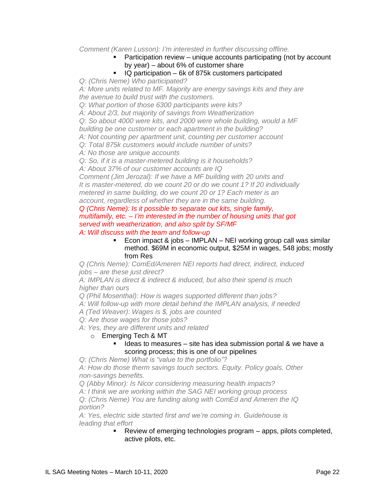### *Comment (Karen Lusson): I'm interested in further discussing offline.*

- Participation review unique accounts participating (not by account by year) – about 6% of customer share
- IQ participation 6k of 875k customers participated

*Q: (Chris Neme) Who participated?*

*A: More units related to MF. Majority are energy savings kits and they are the avenue to build trust with the customers.*

*Q: What portion of those 6300 participants were kits?*

*A: About 2/3, but majority of savings from Weatherization*

*Q: So about 4000 were kits, and 2000 were whole building, would a MF building be one customer or each apartment in the building?*

*A: Not counting per apartment unit, counting per customer account*

*Q: Total 875k customers would include number of units?*

*A: No those are unique accounts*

*Q: So, if it is a master-metered building is it households?*

*A: About 37% of our customer accounts are IQ* 

*Comment (Jim Jerozal): If we have a MF building with 20 units and It is master-metered, do we count 20 or do we count 1? If 20 individually metered in same building, do we count 20 or 1? Each meter is an account, regardless of whether they are in the same building.*

*Q (Chris Neme): Is it possible to separate out kits, single family, multifamily, etc. – I'm interested in the number of housing units that got served with weatherization, and also split by SF/MF A: Will discuss with the team and follow-up*

> **Econ impact & jobs – IMPLAN – NEI working group call was similar** method. \$69M in economic output, \$25M in wages, 548 jobs; mostly from Res

*Q (Chris Neme): ComEd/Ameren NEI reports had direct, indirect, induced jobs – are these just direct?*

*A: IMPLAN is direct & indirect & induced, but also their spend is much higher than ours* 

*Q (Phil Mosenthal): How is wages supported different than jobs?*

*A: Will follow-up with more detail behind the IMPLAN analysis, if needed*

*A (Ted Weaver): Wages is \$, jobs are counted*

*Q: Are those wages for those jobs?*

*A: Yes, they are different units and related*

o Emerging Tech & MT

Ideas to measures  $-$  site has idea submission portal  $\&$  we have a scoring process; this is one of our pipelines

*Q: (Chris Neme) What is "value to the portfolio"?*

*A: How do those therm savings touch sectors. Equity. Policy goals. Other non-savings benefits.*

*Q (Abby Minor): Is Nicor considering measuring health impacts?*

*A: I think we are working within the SAG NEI working group process* 

*Q: (Chris Neme) You are funding along with ComEd and Ameren the IQ portion?*

*A: Yes, electric side started first and we're coming in. Guidehouse is leading that effort*

▪ Review of emerging technologies program – apps, pilots completed, active pilots, etc.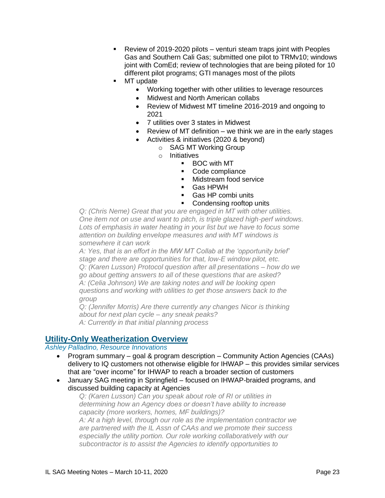- Review of 2019-2020 pilots venturi steam traps joint with Peoples Gas and Southern Cali Gas; submitted one pilot to TRMv10; windows joint with ComEd; review of technologies that are being piloted for 10 different pilot programs; GTI manages most of the pilots
- MT update
	- Working together with other utilities to leverage resources
	- Midwest and North American collabs
	- Review of Midwest MT timeline 2016-2019 and ongoing to 2021
	- 7 utilities over 3 states in Midwest
	- Review of MT definition we think we are in the early stages
	- Activities & initiatives (2020 & beyond)
		- o SAG MT Working Group
		- o Initiatives
			- BOC with MT
			- Code compliance
			- Midstream food service
			- Gas HPWH
			- Gas HP combi units
			- Condensing rooftop units

*Q: (Chris Neme) Great that you are engaged in MT with other utilities. One item not on use and want to pitch, is triple glazed high-perf windows.*  Lots of emphasis in water heating in your list but we have to focus some *attention on building envelope measures and with MT windows is somewhere it can work*

*A: Yes, that is an effort in the MW MT Collab at the 'opportunity brief' stage and there are opportunities for that, low-E window pilot, etc. Q: (Karen Lusson) Protocol question after all presentations – how do we go about getting answers to all of these questions that are asked? A: (Celia Johnson) We are taking notes and will be looking open questions and working with utilities to get those answers back to the group*

*Q: (Jennifer Morris) Are there currently any changes Nicor is thinking about for next plan cycle – any sneak peaks? A: Currently in that initial planning process*

# **Utility-Only Weatherization Overview**

### *Ashley Palladino, Resource Innovations*

- Program summary goal & program description Community Action Agencies (CAAs) delivery to IQ customers not otherwise eligible for IHWAP – this provides similar services that are "over income" for IHWAP to reach a broader section of customers
- January SAG meeting in Springfield focused on IHWAP-braided programs, and discussed building capacity at Agencies

*Q: (Karen Lusson) Can you speak about role of RI or utilities in determining how an Agency does or doesn't have ability to increase capacity (more workers, homes, MF buildings)? A: At a high level, through our role as the implementation contractor we are partnered with the IL Assn of CAAs and we promote their success especially the utility portion. Our role working collaboratively with our subcontractor is to assist the Agencies to identify opportunities to*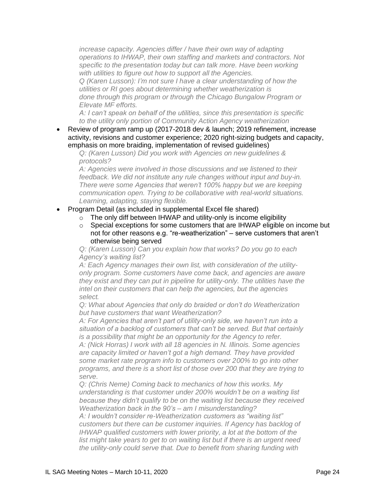*increase capacity. Agencies differ / have their own way of adapting operations to IHWAP, their own staffing and markets and contractors. Not specific to the presentation today but can talk more. Have been working with utilities to figure out how to support all the Agencies.*

*Q (Karen Lusson): I'm not sure I have a clear understanding of how the utilities or RI goes about determining whether weatherization is done through this program or through the Chicago Bungalow Program or Elevate MF efforts.*

*A: I can't speak on behalf of the utilities, since this presentation is specific to the utility only portion of Community Action Agency weatherization*

• Review of program ramp up (2017-2018 dev & launch; 2019 refinement, increase activity, revisions and customer experience; 2020 right-sizing budgets and capacity, emphasis on more braiding, implementation of revised guidelines)

*Q: (Karen Lusson) Did you work with Agencies on new guidelines & protocols?*

*A: Agencies were involved in those discussions and we listened to their feedback. We did not institute any rule changes without input and buy-in. There were some Agencies that weren't 100% happy but we are keeping communication open. Trying to be collaborative with real-world situations. Learning, adapting, staying flexible.*

- Program Detail (as included in supplemental Excel file shared)
	- $\circ$  The only diff between IHWAP and utility-only is income eligibility
	- $\circ$  Special exceptions for some customers that are IHWAP eligible on income but not for other reasons e.g. "re-weatherization" – serve customers that aren't otherwise being served

*Q: (Karen Lusson) Can you explain how that works? Do you go to each Agency's waiting list?*

*A: Each Agency manages their own list, with consideration of the utilityonly program. Some customers have come back, and agencies are aware they exist and they can put in pipeline for utility-only. The utilities have the intel on their customers that can help the agencies, but the agencies select.*

*Q: What about Agencies that only do braided or don't do Weatherization but have customers that want Weatherization?*

*A: For Agencies that aren't part of utility-only side, we haven't run into a situation of a backlog of customers that can't be served. But that certainly is a possibility that might be an opportunity for the Agency to refer.*

*A: (Nick Horras) I work with all 18 agencies in N. Illinois. Some agencies are capacity limited or haven't got a high demand. They have provided some market rate program info to customers over 200% to go into other programs, and there is a short list of those over 200 that they are trying to serve.*

*Q: (Chris Neme) Coming back to mechanics of how this works. My understanding is that customer under 200% wouldn't be on a waiting list because they didn't qualify to be on the waiting list because they received Weatherization back in the 90's – am I misunderstanding?*

*A: I wouldn't consider re-Weatherization customers as "waiting list" customers but there can be customer inquiries. If Agency has backlog of IHWAP qualified customers with lower priority, a lot at the bottom of the list might take years to get to on waiting list but if there is an urgent need the utility-only could serve that. Due to benefit from sharing funding with*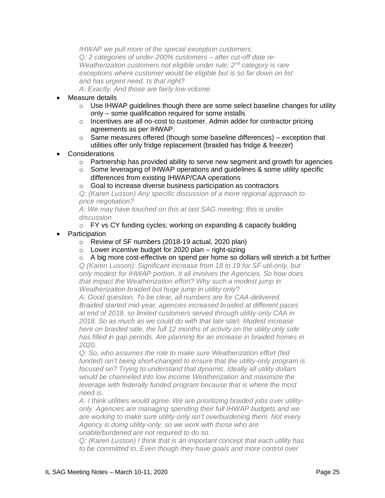*IHWAP we pull more of the special exception customers. Q: 2 categories of under-200% customers – after cut-off date re-Weatherization customers not eligible under rule; 2nd category is rare exceptions where customer would be eligible but is so far down on list and has urgent need. Is that right? A: Exactly. And those are fairly low volume.*

- Measure details
	- $\circ$  Use IHWAP guidelines though there are some select baseline changes for utility only – some qualification required for some installs
	- o Incentives are all no-cost to customer. Admin adder for contractor pricing agreements as per IHWAP.
	- $\circ$  Same measures offered (though some baseline differences) exception that utilities offer only fridge replacement (braided has fridge & freezer)
- **Considerations** 
	- $\circ$  Partnership has provided ability to serve new segment and growth for agencies
	- $\circ$  Some leveraging of IHWAP operations and guidelines & some utility specific differences from existing IHWAP/CAA operations
	- o Goal to increase diverse business participation as contractors

*Q: (Karen Lusson) Any specific discussion of a more regional approach to price negotiation?*

*A: We may have touched on this at last SAG meeting; this is under discussion*

- o FY vs CY funding cycles; working on expanding & capacity building
- **Participation** 
	- o Review of SF numbers (2018-19 actual, 2020 plan)
	- $\circ$  Lower incentive budget for 2020 plan right-sizing
	- $\circ$  A big more cost-effective on spend per home so dollars will stretch a bit further

*Q (Karen Lusson): Significant increase from 18 to 19 for SF util-only, but only modest for IHWAP portion. It all involves the Agencies. So how does that impact the Weatherization effort? Why such a modest jump in Weatherization braided but huge jump in utility only?*

*A: Good question. To be clear, all numbers are for CAA-delivered. Braided started mid-year, agencies increased braided at different paces at end of 2018, so limited customers served through utility-only CAA in 2018. So as much as we could do with that late start. Modest increase here on braided side, the full 12 months of activity on the utility only side has filled in gap periods. Are planning for an increase in braided homes in 2020.*

*Q: So, who assumes the role to make sure Weatherization effort (fed funded) isn't being short-changed to ensure that the utility-only program is focused on? Trying to understand that dynamic. Ideally all utility dollars would be channeled into low income Weatherization and maximize the leverage with federally funded program because that is where the most need is.* 

*A: I think utilities would agree. We are prioritizing braided jobs over utilityonly. Agencies are managing spending their full IHWAP budgets and we are working to make sure utility-only isn't overburdening them. Not every Agency is doing utility-only, so we work with those who are unable/burdened are not required to do so.* 

*Q: (Karen Lusson) I think that is an important concept that each utility has to be committed to. Even though they have goals and more control over*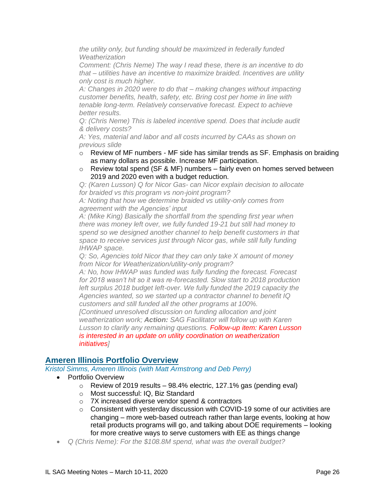*the utility only, but funding should be maximized in federally funded Weatherization*

*Comment: (Chris Neme) The way I read these, there is an incentive to do that – utilities have an incentive to maximize braided. Incentives are utility only cost is much higher.*

*A: Changes in 2020 were to do that – making changes without impacting customer benefits, health, safety, etc. Bring cost per home in line with tenable long-term. Relatively conservative forecast. Expect to achieve better results.*

*Q: (Chris Neme) This is labeled incentive spend. Does that include audit & delivery costs?*

*A: Yes, material and labor and all costs incurred by CAAs as shown on previous slide*

- o Review of MF numbers MF side has similar trends as SF. Emphasis on braiding as many dollars as possible. Increase MF participation.
- $\circ$  Review total spend (SF & MF) numbers fairly even on homes served between 2019 and 2020 even with a budget reduction.

*Q: (Karen Lusson) Q for Nicor Gas- can Nicor explain decision to allocate for braided vs this program vs non-joint program?*

*A: Noting that how we determine braided vs utility-only comes from agreement with the Agencies' input*

*A: (Mike King) Basically the shortfall from the spending first year when there was money left over, we fully funded 19-21 but still had money to spend so we designed another channel to help benefit customers in that space to receive services just through Nicor gas, while still fully funding IHWAP space.*

*Q: So, Agencies told Nicor that they can only take X amount of money from Nicor for Weatherization/utility-only program?*

*A: No, how IHWAP was funded was fully funding the forecast. Forecast for 2018 wasn't hit so it was re-forecasted. Slow start to 2018 production*  left surplus 2018 budget left-over. We fully funded the 2019 capacity the *Agencies wanted, so we started up a contractor channel to benefit IQ customers and still funded all the other programs at 100%. [Continued unresolved discussion on funding allocation and joint weatherization work; Action: SAG Facilitator will follow up with Karen Lusson to clarify any remaining questions. Follow-up item: Karen Lusson is interested in an update on utility coordination on weatherization initiatives]*

# **Ameren Illinois Portfolio Overview**

*Kristol Simms, Ameren Illinois (with Matt Armstrong and Deb Perry)*

- Portfolio Overview
	- $\circ$  Review of 2019 results 98.4% electric, 127.1% gas (pending eval)
	- o Most successful: IQ, Biz Standard
	- o 7X increased diverse vendor spend & contractors
	- $\circ$  Consistent with yesterday discussion with COVID-19 some of our activities are changing – more web-based outreach rather than large events, looking at how retail products programs will go, and talking about DOE requirements – looking for more creative ways to serve customers with EE as things change
- *Q (Chris Neme): For the \$108.8M spend, what was the overall budget?*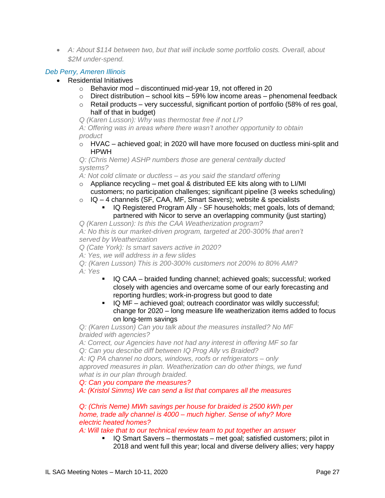• *A: About \$114 between two, but that will include some portfolio costs. Overall, about \$2M under-spend.*

### *Deb Perry, Ameren Illinois*

- Residential Initiatives
	- o Behavior mod discontinued mid-year 19, not offered in 20
	- $\circ$  Direct distribution school kits 59% low income areas phenomenal feedback
	- $\circ$  Retail products very successful, significant portion of portfolio (58% of res goal, half of that in budget)

*Q (Karen Lusson): Why was thermostat free if not LI?*

*A: Offering was in areas where there wasn't another opportunity to obtain product*

 $\circ$  HVAC – achieved goal; in 2020 will have more focused on ductless mini-split and HPWH

*Q: (Chris Neme) ASHP numbers those are general centrally ducted systems?*

*A: Not cold climate or ductless – as you said the standard offering*

- $\circ$  Appliance recycling met goal & distributed EE kits along with to LI/MI customers; no participation challenges; significant pipeline (3 weeks scheduling)
- $\circ$  IQ 4 channels (SF, CAA, MF, Smart Savers); website & specialists
	- **EXECT** IQ Registered Program Ally SF households; met goals, lots of demand; partnered with Nicor to serve an overlapping community (just starting)

*Q (Karen Lusson): Is this the CAA Weatherization program?*

*A: No this is our market-driven program, targeted at 200-300% that aren't served by Weatherization*

*Q (Cate York): Is smart savers active in 2020?*

*A: Yes, we will address in a few slides*

*Q: (Karen Lusson) This is 200-300% customers not 200% to 80% AMI? A: Yes*

- IQ CAA braided funding channel; achieved goals; successful; worked closely with agencies and overcame some of our early forecasting and reporting hurdles; work-in-progress but good to date
- IQ MF achieved goal; outreach coordinator was wildly successful; change for 2020 – long measure life weatherization items added to focus on long-term savings

*Q: (Karen Lusson) Can you talk about the measures installed? No MF braided with agencies?*

*A: Correct, our Agencies have not had any interest in offering MF so far Q: Can you describe diff between IQ Prog Ally vs Braided?*

*A: IQ PA channel no doors, windows, roofs or refrigerators – only approved measures in plan. Weatherization can do other things, we fund what is in our plan through braided.* 

*Q: Can you compare the measures?*

*A: (Kristol Simms) We can send a list that compares all the measures*

*Q: (Chris Neme) MWh savings per house for braided is 2500 kWh per home, trade ally channel is 4000 – much higher. Sense of why? More electric heated homes?*

*A: Will take that to our technical review team to put together an answer*

▪ IQ Smart Savers – thermostats – met goal; satisfied customers; pilot in 2018 and went full this year; local and diverse delivery allies; very happy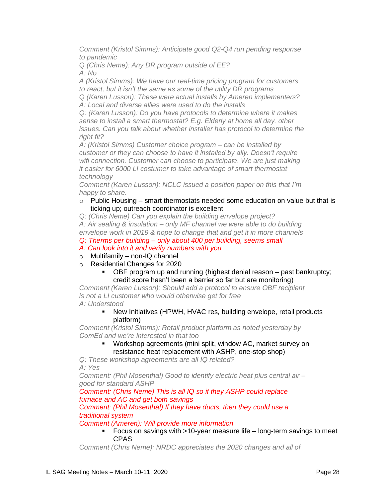*Comment (Kristol Simms): Anticipate good Q2-Q4 run pending response to pandemic*

*Q (Chris Neme): Any DR program outside of EE? A: No*

*A (Kristol Simms): We have our real-time pricing program for customers to react, but it isn't the same as some of the utility DR programs*

*Q (Karen Lusson): These were actual installs by Ameren implementers? A: Local and diverse allies were used to do the installs*

*Q: (Karen Lusson): Do you have protocols to determine where it makes sense to install a smart thermostat? E.g. Elderly at home all day, other issues. Can you talk about whether installer has protocol to determine the right fit?*

*A: (Kristol Simms) Customer choice program – can be installed by customer or they can choose to have it installed by ally. Doesn't require wifi connection. Customer can choose to participate. We are just making it easier for 6000 LI costumer to take advantage of smart thermostat technology*

*Comment (Karen Lusson): NCLC issued a position paper on this that I'm happy to share.* 

#### $\circ$  Public Housing – smart thermostats needed some education on value but that is ticking up; outreach coordinator is excellent

*Q: (Chris Neme) Can you explain the building envelope project? A: Air sealing & insulation – only MF channel we were able to do building envelope work in 2019 & hope to change that and get it in more channels Q: Therms per building – only about 400 per building, seems small*

*A: Can look into it and verify numbers with you*

- o Multifamily non-IQ channel
- o Residential Changes for 2020
	- OBF program up and running (highest denial reason past bankruptcy; credit score hasn't been a barrier so far but are monitoring)

*Comment (Karen Lusson): Should add a protocol to ensure OBF recipient is not a LI customer who would otherwise get for free A: Understood*

■ New Initiatives (HPWH, HVAC res, building envelope, retail products platform)

*Comment (Kristol Simms): Retail product platform as noted yesterday by ComEd and we're interested in that too*

> Workshop agreements (mini split, window AC, market survey on resistance heat replacement with ASHP, one-stop shop)

*Q: These workshop agreements are all IQ related? A: Yes*

*Comment: (Phil Mosenthal) Good to identify electric heat plus central air – good for standard ASHP*

*Comment: (Chris Neme) This is all IQ so if they ASHP could replace furnace and AC and get both savings*

### *Comment: (Phil Mosenthal) If they have ducts, then they could use a traditional system*

#### *Comment (Ameren): Will provide more information*

### ■ Focus on savings with >10-year measure life – long-term savings to meet CPAS

*Comment (Chris Neme): NRDC appreciates the 2020 changes and all of*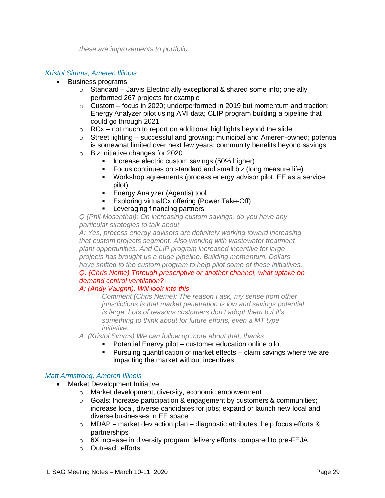### *Kristol Simms, Ameren Illinois*

- Business programs
	- o Standard Jarvis Electric ally exceptional & shared some info; one ally performed 267 projects for example
	- $\circ$  Custom focus in 2020; underperformed in 2019 but momentum and traction; Energy Analyzer pilot using AMI data; CLIP program building a pipeline that could go through 2021
	- $\circ$  RCx not much to report on additional highlights beyond the slide
	- $\circ$  Street lighting successful and growing; municipal and Ameren-owned; potential is somewhat limited over next few years; community benefits beyond savings
	- o Biz initiative changes for 2020
		- Increase electric custom savings (50% higher)
		- Focus continues on standard and small biz (long measure life)
		- Workshop agreements (process energy advisor pilot, EE as a service pilot)
		- **Energy Analyzer (Agentis) tool**
		- Exploring virtualCx offering (Power Take-Off)
		- **EXECTE:** Leveraging financing partners

*Q (Phil Mosenthal): On increasing custom savings, do you have any particular strategies to talk about*

*A: Yes, process energy advisors are definitely working toward increasing that custom projects segment. Also working with wastewater treatment plant opportunities. And CLIP program increased incentive for large projects has brought us a huge pipeline. Building momentum. Dollars have shifted to the custom program to help pilot some of these initiatives. Q: (Chris Neme) Through prescriptive or another channel, what uptake on* 

# *demand control ventilation?*

### *A: (Andy Vaughn): Will look into this*

*Comment (Chris Neme): The reason I ask, my sense from other jurisdictions is that market penetration is low and savings potential is large. Lots of reasons customers don't adopt them but it's something to think about for future efforts, even a MT type initiative.*

- *A: (Kristol Simms) We can follow up more about that, thanks*
	- Potential Enervy pilot customer education online pilot
		- Pursuing quantification of market effects claim savings where we are impacting the market without incentives

### *Matt Armstrong, Ameren Illinois*

- Market Development Initiative
	- o Market development, diversity, economic empowerment
	- $\circ$  Goals: Increase participation & engagement by customers & communities; increase local, diverse candidates for jobs; expand or launch new local and diverse businesses in EE space
	- $\circ$  MDAP market dev action plan diagnostic attributes, help focus efforts & partnerships
	- $\circ$  6X increase in diversity program delivery efforts compared to pre-FEJA
	- o Outreach efforts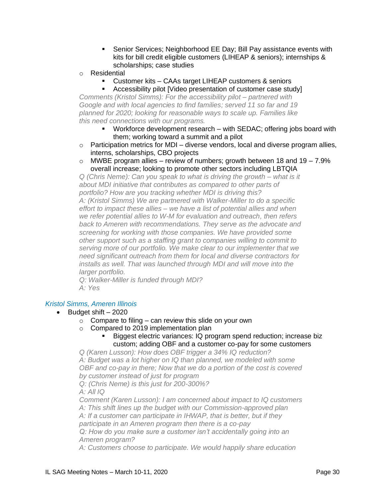- Senior Services; Neighborhood EE Day; Bill Pay assistance events with kits for bill credit eligible customers (LIHEAP & seniors); internships & scholarships; case studies
- o Residential
	- Customer kits CAAs target LIHEAP customers & seniors
	- Accessibility pilot [Video presentation of customer case study]

*Comments (Kristol Simms): For the accessibility pilot – partnered with Google and with local agencies to find families; served 11 so far and 19 planned for 2020; looking for reasonable ways to scale up. Families like this need connections with our programs.*

- Workforce development research with SEDAC; offering jobs board with them; working toward a summit and a pilot
- $\circ$  Participation metrics for MDI diverse vendors, local and diverse program allies, interns, scholarships, CBO projects
- $\circ$  MWBE program allies review of numbers; growth between 18 and 19 7.9% overall increase; looking to promote other sectors including LBTQIA

*Q (Chris Neme): Can you speak to what is driving the growth – what is it about MDI initiative that contributes as compared to other parts of portfolio? How are you tracking whether MDI is driving this? A: (Kristol Simms) We are partnered with Walker-Miller to do a specific effort to impact these allies – we have a list of potential allies and when we refer potential allies to W-M for evaluation and outreach, then refers back to Ameren with recommendations. They serve as the advocate and screening for working with those companies. We have provided some other support such as a staffing grant to companies willing to commit to serving more of our portfolio. We make clear to our implementer that we need significant outreach from them for local and diverse contractors for installs as well. That was launched through MDI and will move into the larger portfolio.*

*Q: Walker-Miller is funded through MDI? A: Yes*

#### *Kristol Simms, Ameren Illinois*

- Budget shift 2020
	- $\circ$  Compare to filing can review this slide on your own
	- o Compared to 2019 implementation plan
		- Biggest electric variances: IQ program spend reduction; increase biz custom; adding OBF and a customer co-pay for some customers

*Q (Karen Lusson): How does OBF trigger a 34% IQ reduction? A: Budget was a lot higher on IQ than planned, we modeled with some OBF and co-pay in there; Now that we do a portion of the cost is covered by customer instead of just for program*

*Q: (Chris Neme) is this just for 200-300%?*

*A: All IQ*

*Comment (Karen Lusson): I am concerned about impact to IQ customers A: This shift lines up the budget with our Commission-approved plan A: If a customer can participate in IHWAP, that is better, but if they participate in an Ameren program then there is a co-pay Q: How do you make sure a customer isn't accidentally going into an Ameren program?*

*A: Customers choose to participate. We would happily share education*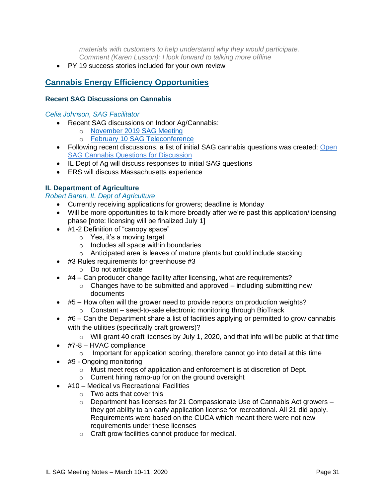*materials with customers to help understand why they would participate. Comment (Karen Lusson): I look forward to talking more offline* 

• PY 19 success stories included for your own review

# **Cannabis Energy Efficiency Opportunities**

### **Recent SAG Discussions on Cannabis**

#### *Celia Johnson, SAG Facilitator*

- Recent SAG discussions on Indoor Ag/Cannabis:
	- o November [2019 SAG Meeting](https://www.ilsag.info/event/tuesday-november-19-sag-meeting/)
	- o [February 10 SAG Teleconference](https://www.ilsag.info/event/monday-february-10-sag-teleconference/)
- Following recent discussions, a list of initial SAG cannabis questions was created: [Open](https://s3.amazonaws.com/ilsag/SAG-Open-Cannabis-Questions_final-draft_3-6-2020-for-review.pdf)  [SAG Cannabis Questions for Discussion](https://s3.amazonaws.com/ilsag/SAG-Open-Cannabis-Questions_final-draft_3-6-2020-for-review.pdf)
- IL Dept of Ag will discuss responses to initial SAG questions
- ERS will discuss Massachusetts experience

# **IL Department of Agriculture**

*Robert Baren, IL Dept of Agriculture*

- Currently receiving applications for growers; deadline is Monday
- Will be more opportunities to talk more broadly after we're past this application/licensing phase [note: licensing will be finalized July 1]
- #1-2 Definition of "canopy space"
	- o Yes, it's a moving target
	- o Includes all space within boundaries
	- o Anticipated area is leaves of mature plants but could include stacking
- #3 Rules requirements for greenhouse #3
	- o Do not anticipate
- $\bullet$  #4 Can producer change facility after licensing, what are requirements?
	- $\circ$  Changes have to be submitted and approved including submitting new documents
- #5 How often will the grower need to provide reports on production weights? o Constant – seed-to-sale electronic monitoring through BioTrack
- $\bullet$  #6 Can the Department share a list of facilities applying or permitted to grow cannabis with the utilities (specifically craft growers)?
	- o Will grant 40 craft licenses by July 1, 2020, and that info will be public at that time
- #7-8 HVAC compliance
	- $\circ$  Important for application scoring, therefore cannot go into detail at this time
- #9 Ongoing monitoring
	- o Must meet reqs of application and enforcement is at discretion of Dept.
	- o Current hiring ramp-up for on the ground oversight
- #10 Medical vs Recreational Facilities
	- $\circ$  Two acts that cover this
	- $\circ$  Department has licenses for 21 Compassionate Use of Cannabis Act growers they got ability to an early application license for recreational. All 21 did apply. Requirements were based on the CUCA which meant there were not new requirements under these licenses
	- o Craft grow facilities cannot produce for medical.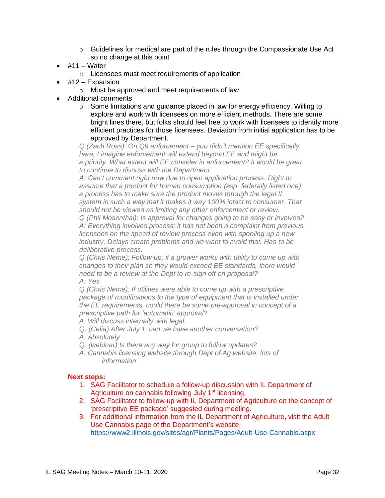- $\circ$  Guidelines for medical are part of the rules through the Compassionate Use Act so no change at this point
- #11 Water
	- o Licensees must meet requirements of application
- #12 Expansion
	- o Must be approved and meet requirements of law
- Additional comments
	- $\circ$  Some limitations and guidance placed in law for energy efficiency. Willing to explore and work with licensees on more efficient methods. There are some bright lines there, but folks should feel free to work with licensees to identify more efficient practices for those licensees. Deviation from initial application has to be approved by Department.

*Q (Zach Ross): On Q9 enforcement – you didn't mention EE specifically here, I imagine enforcement will extend beyond EE and might be a priority. What extent will EE consider in enforcement? It would be great to continue to discuss with the Department.*

*A: Can't comment right now due to open application process. Right to assume that a product for human consumption (esp. federally listed one) a process has to make sure the product moves through the legal IL system in such a way that it makes it way 100% intact to consumer. That should not be viewed as limiting any other enforcement or review.*

*Q (Phil Mosenthal): Is approval for changes going to be easy or involved? A: Everything involves process; it has not been a complaint from previous licensees on the speed of review process even with spooling up a new industry. Delays create problems and we want to avoid that. Has to be deliberative process.*

*Q (Chris Neme): Follow-up; if a grower works with utility to come up with changes to their plan so they would exceed EE standards, there would need to be a review at the Dept to re-sign off on proposal? A: Yes*

*Q (Chris Neme): If utilities were able to come up with a prescriptive package of modifications to the type of equipment that is installed under the EE requirements, could there be some pre-approval in concept of a prescriptive path for 'automatic' approval?*

*A: Will discuss internally with legal.*

- *Q: (Celia) After July 1, can we have another conversation?*
- *A: Absolutely*
- *Q: (webinar) Is there any way for group to follow updates?*
- *A: Cannabis licensing website through Dept of Ag website, lots of information*

#### **Next steps:**

- 1. SAG Facilitator to schedule a follow-up discussion with IL Department of Agriculture on cannabis following July 1<sup>st</sup> licensing.
- 2. SAG Facilitator to follow-up with IL Department of Agriculture on the concept of 'prescriptive EE package' suggested during meeting.
- 3. For additional information from the IL Department of Agriculture, visit the Adult Use Cannabis page of the Department's website: <https://www2.illinois.gov/sites/agr/Plants/Pages/Adult-Use-Cannabis.aspx>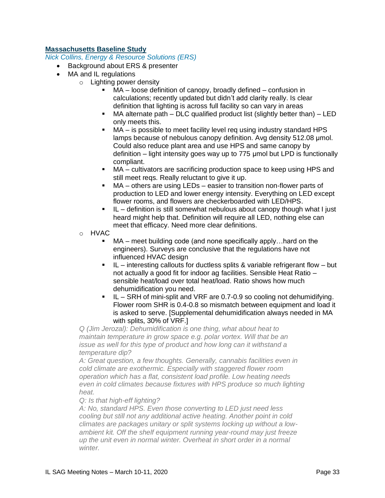# **Massachusetts Baseline Study**

*Nick Collins, Energy & Resource Solutions (ERS)*

- Background about ERS & presenter
- MA and IL regulations
	- o Lighting power density
		- MA loose definition of canopy, broadly defined confusion in calculations; recently updated but didn't add clarity really. Is clear definition that lighting is across full facility so can vary in areas
		- MA alternate path DLC qualified product list (slightly better than) LED only meets this.
		- $MA is possible$  to meet facility level req using industry standard HPS lamps because of nebulous canopy definition. Avg density 512.08 μmol. Could also reduce plant area and use HPS and same canopy by definition – light intensity goes way up to 775 μmol but LPD is functionally compliant.
		- MA cultivators are sacrificing production space to keep using HPS and still meet reqs. Really reluctant to give it up.
		- MA others are using LEDs easier to transition non-flower parts of production to LED and lower energy intensity. Everything on LED except flower rooms, and flowers are checkerboarded with LED/HPS.
		- IL definition is still somewhat nebulous about canopy though what I just heard might help that. Definition will require all LED, nothing else can meet that efficacy. Need more clear definitions.
		- o HVAC
			- $MA$  meet building code (and none specifically apply... hard on the engineers). Surveys are conclusive that the regulations have not influenced HVAC design
			- $IL$  interesting callouts for ductless splits & variable refrigerant flow but not actually a good fit for indoor ag facilities. Sensible Heat Ratio – sensible heat/load over total heat/load. Ratio shows how much dehumidification you need.
			- IL SRH of mini-split and VRF are 0.7-0.9 so cooling not dehumidifying. Flower room SHR is 0.4-0.8 so mismatch between equipment and load it is asked to serve. [Supplemental dehumidification always needed in MA with splits, 30% of VRF.]

*Q (Jim Jerozal): Dehumidification is one thing, what about heat to maintain temperature in grow space e.g. polar vortex. Will that be an issue as well for this type of product and how long can it withstand a temperature dip?*

*A: Great question, a few thoughts. Generally, cannabis facilities even in cold climate are exothermic. Especially with staggered flower room operation which has a flat, consistent load profile. Low heating needs even in cold climates because fixtures with HPS produce so much lighting heat.* 

#### *Q: Is that high-eff lighting?*

*A: No, standard HPS. Even those converting to LED just need less cooling but still not any additional active heating. Another point in cold climates are packages unitary or split systems locking up without a lowambient kit. Off the shelf equipment running year-round may just freeze up the unit even in normal winter. Overheat in short order in a normal winter.*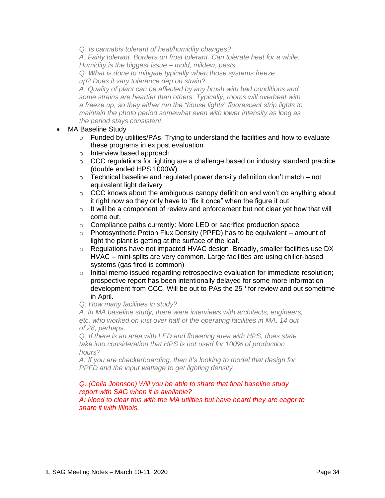*Q: Is cannabis tolerant of heat/humidity changes?*

*A: Fairly tolerant. Borders on frost tolerant. Can tolerate heat for a while. Humidity is the biggest issue – mold, mildew, pests.*

*Q: What is done to mitigate typically when those systems freeze up? Does it vary tolerance dep on strain?*

*A: Quality of plant can be affected by any brush with bad conditions and some strains are heartier than others. Typically, rooms will overheat with a freeze up, so they either run the "house lights" fluorescent strip lights to maintain the photo period somewhat even with lower intensity as long as the period stays consistent.* 

- MA Baseline Study
	- $\circ$  Funded by utilities/PAs. Trying to understand the facilities and how to evaluate these programs in ex post evaluation
	- o Interview based approach
	- $\circ$  CCC regulations for lighting are a challenge based on industry standard practice (double ended HPS 1000W)
	- $\circ$  Technical baseline and regulated power density definition don't match not equivalent light delivery
	- $\circ$  CCC knows about the ambiguous canopy definition and won't do anything about it right now so they only have to "fix it once" when the figure it out
	- $\circ$  It will be a component of review and enforcement but not clear yet how that will come out.
	- o Compliance paths currently: More LED or sacrifice production space
	- $\circ$  Photosynthetic Proton Flux Density (PPFD) has to be equivalent amount of light the plant is getting at the surface of the leaf.
	- o Regulations have not impacted HVAC design. Broadly, smaller facilities use DX HVAC – mini-splits are very common. Large facilities are using chiller-based systems (gas fired is common)
	- $\circ$  Initial memo issued regarding retrospective evaluation for immediate resolution; prospective report has been intentionally delayed for some more information development from CCC. Will be out to PAs the 25<sup>th</sup> for review and out sometime in April.
	- *Q: How many facilities in study?*

*A: In MA baseline study, there were interviews with architects, engineers, etc. who worked on just over half of the operating facilities in MA. 14 out of 28, perhaps.*

*Q: If there is an area with LED and flowering area with HPS, does state take into consideration that HPS is not used for 100% of production hours?*

*A: If you are checkerboarding, then it's looking to model that design for PPFD and the input wattage to get lighting density.*

# *Q: (Celia Johnson) Will you be able to share that final baseline study report with SAG when it is available?*

*A: Need to clear this with the MA utilities but have heard they are eager to share it with Illinois.*